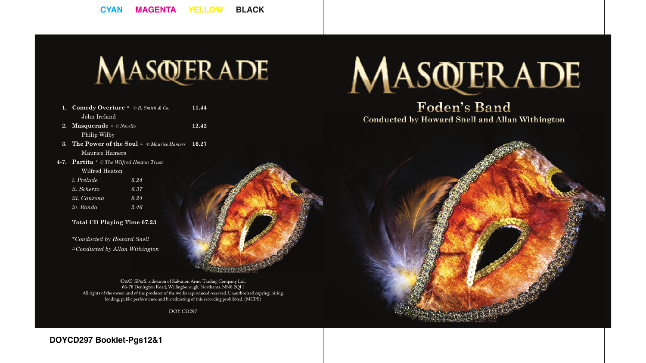# MASQUERADE

**12.42**

- **Comedy Overture** \**© R. Smith & Co.* **1.** John Ireland **11.44**
- **2.** Masquerade  $\triangle$  © *Novello* Philip Wilby
- **3.** The Power of the Soul  $\triangle$  © Maurice Hamers 16.27 Maurice Hamers
- **Partita** \* *© The Wilfred Heaton Trust* **4-7.** Wilfred Heaton

| <i>i.</i> Prelude  | 5.24 |
|--------------------|------|
| <i>ii.</i> Scherzo | 6.37 |
| iii. Canzona       | 8.24 |
| iv. Rondo          | 5.46 |

#### **Total CD Playing Time 67.23**

*\*Conducted by Howard Snell* <sup>U</sup>*Conducted by Allan Withington*



C&P SP&S, a division of Salvation Army Trading Company Ltd. 66-78 Denington Road, Wellingborough, Northants. NN8 2QH All rights of the owner and of the producer of the works reproduced reserved. Unauthorised copying, hiring, lending, public performance and broadcasting of this recording prohibited. (MCPS)

DOY CD297

# MASQUERADE

# **Foden's Band Conducted by Howard Snell and Allan Withington**



**DOYCD297 Booklet-Pgs12&1**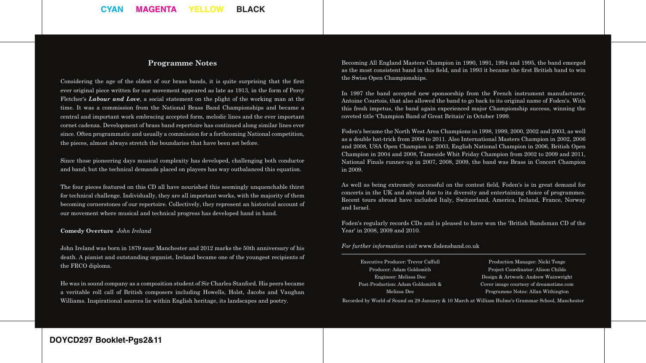#### **Programme Notes**

Considering the age of the oldest of our brass bands, it is quite surprising that the first ever original piece written for our movement appeared as late as 1913, in the form of Percy Fletcher's *Labour and Love*, a social statement on the plight of the working man at the time. It was a commission from the National Brass Band Championships and became a central and important work embracing accepted form, melodic lines and the ever important cornet cadenza. Development of brass band repertoire has continued along similar lines ever since. Often programmatic and usually a commission for a forthcoming National competition, the pieces, almost always stretch the boundaries that have been set before.

Since those pioneering days musical complexity has developed, challenging both conductor and band; but the technical demands placed on players has way outbalanced this equation.

The four pieces featured on this CD all have nourished this seemingly unquenchable thirst for technical challenge. Individually, they are all important works, with the majority of them becoming cornerstones of our repertoire. Collectively, they represent an historical account of our movement where musical and technical progress has developed hand in hand.

#### **Comedy Overture** *John Ireland*

John Ireland was born in 1879 near Manchester and 2012 marks the 50th anniversary of his death. A pianist and outstanding organist, Ireland became one of the youngest recipients of the FRCO diploma.

He was in sound company as a composition student of Sir Charles Stanford. His peers became a veritable roll call of British composers including Howells, Holst, Jacobs and Vaughan Williams. Inspirational sources lie within English heritage, its landscapes and poetry.

Becoming All England Masters Champion in 1990, 1991, 1994 and 1995, the band emerged as the most consistent band in this field, and in 1993 it became the first British band to win the Swiss Open Championships.

In 1997 the band accepted new sponsorship from the French instrument manufacturer, Antoine Courtois, that also allowed the band to go back to its original name of Foden's. With this fresh impetus, the band again experienced major Championship success, winning the coveted title 'Champion Band of Great Britain' in October 1999.

Foden's became the North West Area Champions in 1998, 1999, 2000, 2002 and 2003, as well as a double hat-trick from 2006 to 2011. Also International Masters Champion in 2002, 2006 and 2008, USA Open Champion in 2003, English National Champion in 2006, British Open Champion in 2004 and 2008, Tameside Whit Friday Champion from 2002 to 2009 and 2011, National Finals runner-up in 2007, 2008, 2009, the band was Brass in Concert Champion in 2009.

As well as being extremely successful on the contest field, Foden's is in great demand for concerts in the UK and abroad due to its diversity and entertaining choice of programmes. Recent tours abroad have included Italy, Switzerland, America, Ireland, France, Norway and Israel.

Foden's regularly records CDs and is pleased to have won the 'British Bandsman CD of the Year' in 2008, 2009 and 2010.

*For further information visit* www.fodensband.co.uk

| Executive Producer: Trevor Caffull |  |
|------------------------------------|--|
| Producer: Adam Goldsmith           |  |
| Engineer: Melissa Dee              |  |
| Post-Production: Adam Goldsmith &  |  |
| Melissa Dee                        |  |

Production Manager: Nicki Tonge Project Coordinator: Alison Childs Design & Artwork: Andrew Wainwright Cover image courtesy of dreamstime.com Programme Notes: Allan Withington

Recorded by World of Sound on 29 January & 10 March at William Hulme's Grammar School, Manchester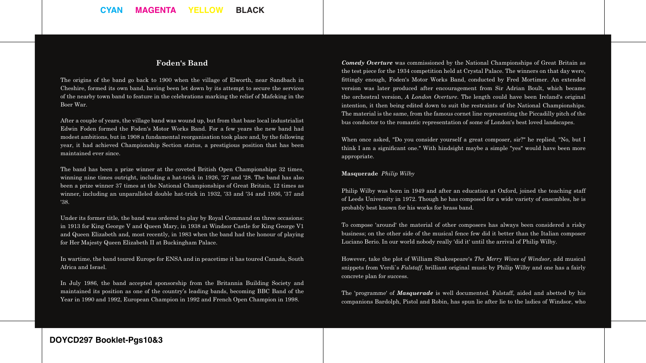# **Foden's Band**

The origins of the band go back to 1900 when the village of Elworth, near Sandbach in Cheshire, formed its own band, having been let down by its attempt to secure the services of the nearby town band to feature in the celebrations marking the relief of Mafeking in the Boer War.

After a couple of years, the village band was wound up, but from that base local industrialist Edwin Foden formed the Foden's Motor Works Band. For a few years the new band had modest ambitions, but in 1908 a fundamental reorganisation took place and, by the following year, it had achieved Championship Section status, a prestigious position that has been maintained ever since.

The band has been a prize winner at the coveted British Open Championships 32 times, winning nine times outright, including a hat-trick in 1926, '27 and '28. The band has also been a prize winner 37 times at the National Championships of Great Britain, 12 times as winner, including an unparalleled double hat-trick in 1932, '33 and '34 and 1936, '37 and '38.

Under its former title, the band was ordered to play by Royal Command on three occasions: in 1913 for King George V and Queen Mary, in 1938 at Windsor Castle for King George V1 and Queen Elizabeth and, most recently, in 1983 when the band had the honour of playing for Her Majesty Queen Elizabeth II at Buckingham Palace.

In wartime, the band toured Europe for ENSA and in peacetime it has toured Canada, South Africa and Israel.

In July 1986, the band accepted sponsorship from the Britannia Building Society and maintained its position as one of the country's leading bands, becoming BBC Band of the Year in 1990 and 1992, European Champion in 1992 and French Open Champion in 1998.

*Comedy Overture* was commissioned by the National Championships of Great Britain as the test piece for the 1934 competition held at Crystal Palace. The winners on that day were, fittingly enough, Foden's Motor Works Band, conducted by Fred Mortimer. An extended version was later produced after encouragement from Sir Adrian Boult, which became the orchestral version, *A London Overture*. The length could have been Ireland's original intention, it then being edited down to suit the restraints of the National Championships. The material is the same, from the famous cornet line representing the Piccadilly pitch of the bus conductor to the romantic representation of some of London's best loved landscapes.

When once asked, "Do you consider yourself a great composer, sir?" he replied, "No, but I think I am a significant one." With hindsight maybe a simple "yes" would have been more appropriate.

#### **Masquerade** *Philip Wilby*

Philip Wilby was born in 1949 and after an education at Oxford, joined the teaching staff of Leeds University in 1972. Though he has composed for a wide variety of ensembles, he is probably best known for his works for brass band.

To compose 'around' the material of other composers has always been considered a risky business; on the other side of the musical fence few did it better than the Italian composer Luciano Berio. In our world nobody really 'did it' until the arrival of Philip Wilby.

However, take the plot of William Shakespeare's *The Merry Wives of Windsor*, add musical snippets from Verdi`s *Falstaff*, brilliant original music by Philip Wilby and one has a fairly concrete plan for success.

The 'programme' of *Masquerade* is well documented. Falstaff, aided and abetted by his companions Bardolph, Pistol and Robin, has spun lie after lie to the ladies of Windsor, who

# **DOYCD297 Booklet-Pgs10&3**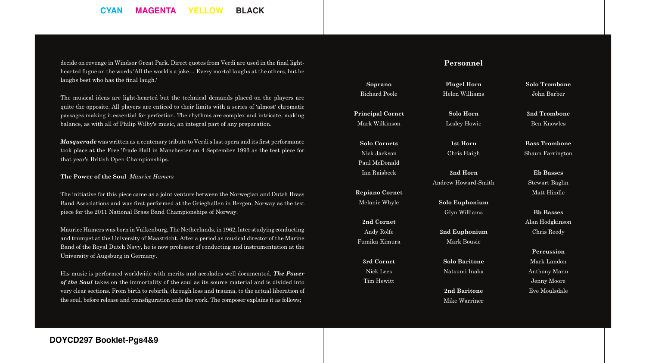# **CYAN MAGENTA YELLOW BLACK**

decide on revenge in Windsor Great Park. Direct quotes from Verdi are used in the final lighthearted fugue on the words 'All the world's a joke… Every mortal laughs at the others, but he laughs best who has the final laugh.'

The musical ideas are light-hearted but the technical demands placed on the players are quite the opposite. All players are enticed to their limits with a series of 'almost' chromatic passages making it essential for perfection. The rhythms are complex and intricate, making balance, as with all of Philip Wilby's music, an integral part of any preparation.

*Masquerade* was written as a centenary tribute to Verdi's last opera and its first performance took place at the Free Trade Hall in Manchester on 4 September 1993 as the test piece for that year's British Open Championships.

#### **The Power of the Soul** *Maurice Hamers*

The initiative for this piece came as a joint venture between the Norwegian and Dutch Brass Band Associations and was first performed at the Grieghallen in Bergen, Norway as the test piece for the 2011 National Brass Band Championships of Norway.

Maurice Hamers was born in Valkenburg, The Netherlands, in 1962, later studying conducting and trumpet at the University of Maastricht. After a period as musical director of the Marine Band of the Royal Dutch Navy, he is now professor of conducting and instrumentation at the University of Augsburg in Germany.

His music is performed worldwide with merits and accolades well documented. *The Power of the Soul* takes on the immortality of the soul as its source material and is divided into very clear sections. From birth to rebirth, through loss and trauma, to the actual liberation of the soul, before release and transfiguration ends the work. The composer explains it as follows;

#### **Personnel**

**Flugel Horn**  Helen Williams

**Soprano**  Richard Poole

**Principal Cornet**  Mark Wilkinson

**Solo Cornets**  Nick Jackson Paul McDonald Ian Raisbeck

**Repiano Cornet**  Melanie Whyle

**2nd Cornet**  Andy Rolfe Fumika Kimura

**3rd Cornet** Nick Lees Tim Hewitt

**Solo Horn**  Lesley Howie

> **1st Horn**  Chris Haigh

**2nd Horn**  Andrew Howard-Smith

**Solo Euphonium**  Glyn Williams

**2nd Euphonium**  Mark Bousie

**Solo Baritone**  Natsumi Inaba

> **2nd Baritone**  Mike Warriner

**Solo Trombone**  John Barber

**2nd Trombone**  Ben Knowles

**Bass Trombone**  Shaun Farrington

**Eb Basses**  Stewart Baglin Matt Hindle

**Bb Basses**  Alan Hodgkinson Chris Reedy

**Percussion**  Mark Landon Anthony Mann Jenny Moore Eve Moulsdale

# **DOYCD297 Booklet-Pgs4&9**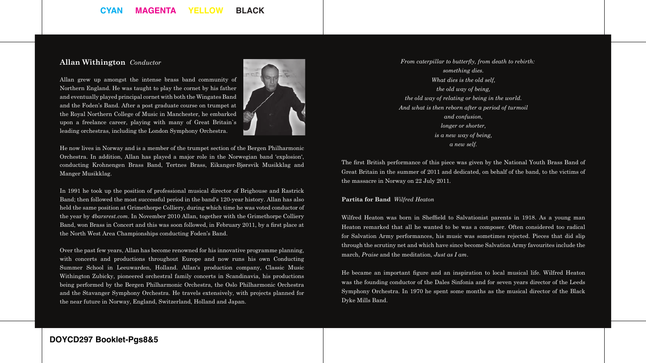# **CYAN MAGENTA YELLOW BLACK**

#### **Allan Withington** *Conductor*

Allan grew up amongst the intense brass band community of Northern England. He was taught to play the cornet by his father and eventually played principal cornet with both the Wingates Band and the Foden's Band. After a post graduate course on trumpet at the Royal Northern College of Music in Manchester, he embarked upon a freelance career, playing with many of Great Britain`s leading orchestras, including the London Symphony Orchestra.



He now lives in Norway and is a member of the trumpet section of the Bergen Philharmonic Orchestra. In addition, Allan has played a major role in the Norwegian band 'explosion', conducting Krohnengen Brass Band, Tertnes Brass, Eikanger-Bjørsvik Musikklag and Manger Musikklag.

In 1991 he took up the position of professional musical director of Brighouse and Rastrick Band; then followed the most successful period in the band's 120-year history. Allan has also held the same position at Grimethorpe Colliery, during which time he was voted conductor of the year by *4barsrest.com*. In November 2010 Allan, together with the Grimethorpe Colliery Band, won Brass in Concert and this was soon followed, in February 2011, by a first place at the North West Area Championships conducting Foden's Band.

Over the past few years, Allan has become renowned for his innovative programme planning, with concerts and productions throughout Europe and now runs his own Conducting Summer School in Leeuwarden, Holland. Allan's production company, Classic Music Withington Zubicky, pioneered orchestral family concerts in Scandinavia, his productions being performed by the Bergen Philharmonic Orchestra, the Oslo Philharmonic Orchestra and the Stavanger Symphony Orchestra. He travels extensively, with projects planned for the near future in Norway, England, Switzerland, Holland and Japan.

*From caterpillar to butterfly, from death to rebirth: something dies. What dies is the old self, the old way of being, the old way of relating or being in the world. And what is then reborn after a period of turmoil and confusion, longer or shorter, is a new way of being, a new self.*

The first British performance of this piece was given by the National Youth Brass Band of Great Britain in the summer of 2011 and dedicated, on behalf of the band, to the victims of the massacre in Norway on 22 July 2011.

#### **Partita for Band** *Wilfred Heaton*

Wilfred Heaton was born in Sheffield to Salvationist parents in 1918. As a young man Heaton remarked that all he wanted to be was a composer. Often considered too radical for Salvation Army performances, his music was sometimes rejected. Pieces that did slip through the scrutiny net and which have since become Salvation Army favourites include the march, *Praise* and the meditation, *Just as I am*.

He became an important figure and an inspiration to local musical life. Wilfred Heaton was the founding conductor of the Dales Sinfonia and for seven years director of the Leeds Symphony Orchestra. In 1970 he spent some months as the musical director of the Black Dyke Mills Band.